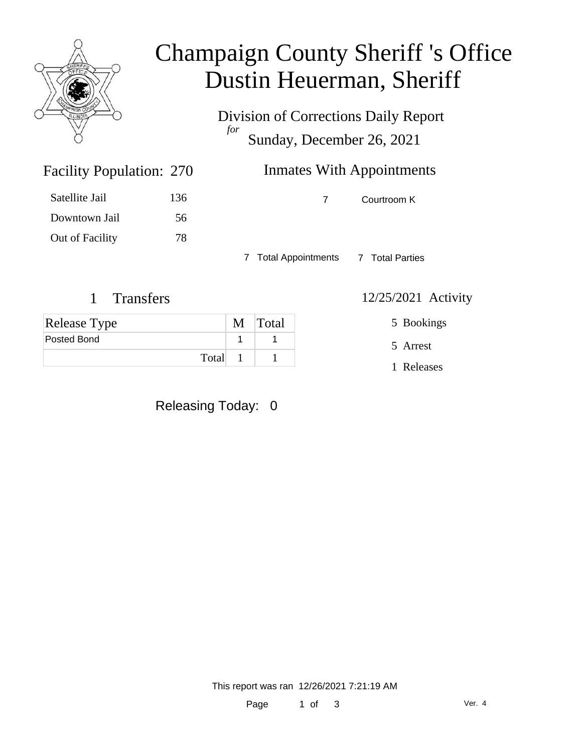

### Champaign County Sheriff 's Office Dustin Heuerman, Sheriff

Division of Corrections Daily Report *for* Sunday, December 26, 2021

| 270 | <b>Inmates With Appointments</b> |             |  |
|-----|----------------------------------|-------------|--|
| 136 |                                  | Courtroom K |  |

Satellite Jail 136 Downtown Jail 56 Out of Facility 78

Facility Population: 270

7 Total Appointments 7 Total Parties

#### 1 Transfers 12/25/2021 Activity

| <b>Release Type</b> | M Total |
|---------------------|---------|
| Posted Bond         |         |
| Total               |         |

Releasing Today: 0

5 Bookings

5 Arrest

1 Releases

This report was ran 12/26/2021 7:21:19 AM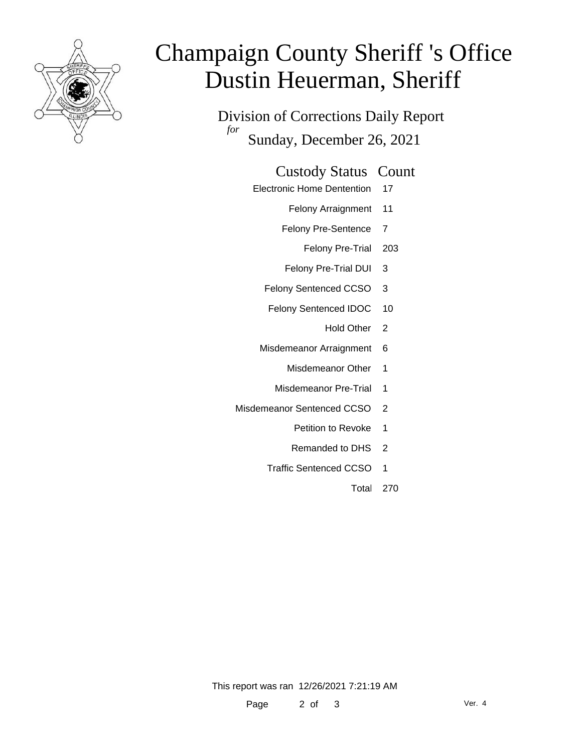

# Champaign County Sheriff 's Office Dustin Heuerman, Sheriff

Division of Corrections Daily Report *for* Sunday, December 26, 2021

#### Custody Status Count

- Electronic Home Dentention 17
	- Felony Arraignment 11
	- Felony Pre-Sentence 7
		- Felony Pre-Trial 203
	- Felony Pre-Trial DUI 3
	- Felony Sentenced CCSO 3
	- Felony Sentenced IDOC 10
		- Hold Other 2
	- Misdemeanor Arraignment 6
		- Misdemeanor Other 1
		- Misdemeanor Pre-Trial 1
- Misdemeanor Sentenced CCSO 2
	- Petition to Revoke 1
	- Remanded to DHS 2
	- Traffic Sentenced CCSO 1
		- Total 270

This report was ran 12/26/2021 7:21:19 AM